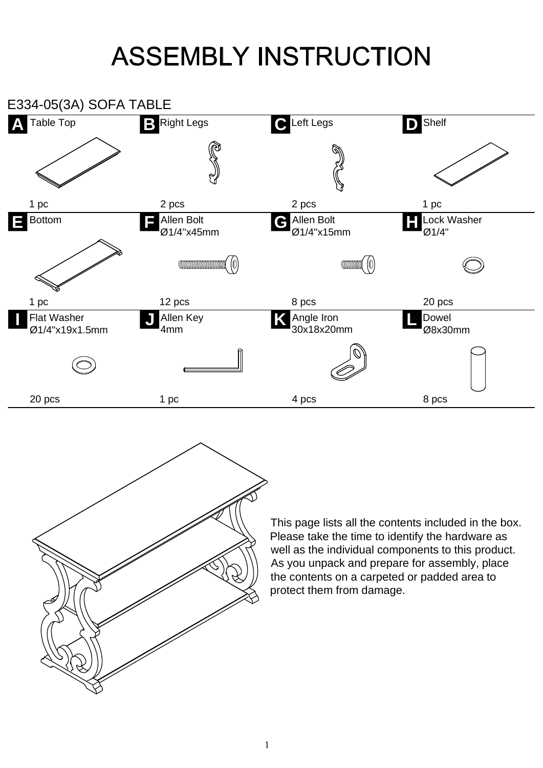## **ASSEMBLY INSTRUCTION**



This page lists all the contents included in the box. Please take the time to identify the hardware as well as the individual components to this product. As you unpack and prepare for assembly, place the contents on a carpeted or padded area to protect them from damage.